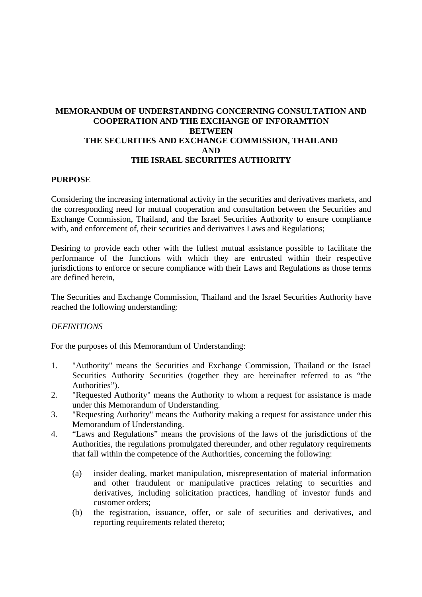# **MEMORANDUM OF UNDERSTANDING CONCERNING CONSULTATION AND COOPERATION AND THE EXCHANGE OF INFORAMTION BETWEEN THE SECURITIES AND EXCHANGE COMMISSION, THAILAND AND THE ISRAEL SECURITIES AUTHORITY**

#### **PURPOSE**

Considering the increasing international activity in the securities and derivatives markets, and the corresponding need for mutual cooperation and consultation between the Securities and Exchange Commission, Thailand, and the Israel Securities Authority to ensure compliance with, and enforcement of, their securities and derivatives Laws and Regulations;

Desiring to provide each other with the fullest mutual assistance possible to facilitate the performance of the functions with which they are entrusted within their respective jurisdictions to enforce or secure compliance with their Laws and Regulations as those terms are defined herein,

The Securities and Exchange Commission, Thailand and the Israel Securities Authority have reached the following understanding:

### *DEFINITIONS*

For the purposes of this Memorandum of Understanding:

- 1. "Authority" means the Securities and Exchange Commission, Thailand or the Israel Securities Authority Securities (together they are hereinafter referred to as "the Authorities").
- 2. "Requested Authority" means the Authority to whom a request for assistance is made under this Memorandum of Understanding.
- 3. "Requesting Authority" means the Authority making a request for assistance under this Memorandum of Understanding.
- 4. "Laws and Regulations" means the provisions of the laws of the jurisdictions of the Authorities, the regulations promulgated thereunder, and other regulatory requirements that fall within the competence of the Authorities, concerning the following:
	- (a) insider dealing, market manipulation, misrepresentation of material information and other fraudulent or manipulative practices relating to securities and derivatives, including solicitation practices, handling of investor funds and customer orders;
	- (b) the registration, issuance, offer, or sale of securities and derivatives, and reporting requirements related thereto;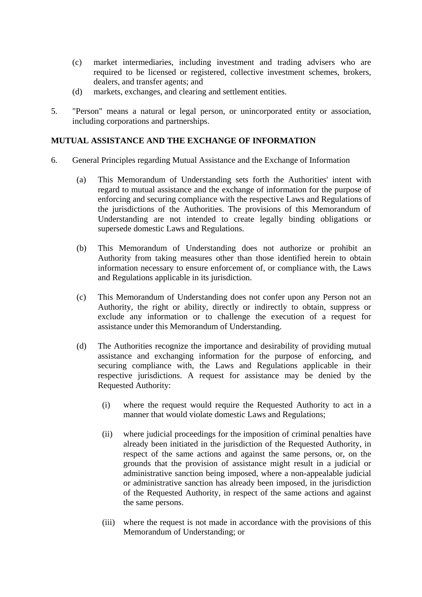- (c) market intermediaries, including investment and trading advisers who are required to be licensed or registered, collective investment schemes, brokers, dealers, and transfer agents; and
- (d) markets, exchanges, and clearing and settlement entities.
- 5. "Person" means a natural or legal person, or unincorporated entity or association, including corporations and partnerships.

## **MUTUAL ASSISTANCE AND THE EXCHANGE OF INFORMATION**

- 6. General Principles regarding Mutual Assistance and the Exchange of Information
	- (a) This Memorandum of Understanding sets forth the Authorities' intent with regard to mutual assistance and the exchange of information for the purpose of enforcing and securing compliance with the respective Laws and Regulations of the jurisdictions of the Authorities. The provisions of this Memorandum of Understanding are not intended to create legally binding obligations or supersede domestic Laws and Regulations.
	- (b) This Memorandum of Understanding does not authorize or prohibit an Authority from taking measures other than those identified herein to obtain information necessary to ensure enforcement of, or compliance with, the Laws and Regulations applicable in its jurisdiction.
	- (c) This Memorandum of Understanding does not confer upon any Person not an Authority, the right or ability, directly or indirectly to obtain, suppress or exclude any information or to challenge the execution of a request for assistance under this Memorandum of Understanding.
	- (d) The Authorities recognize the importance and desirability of providing mutual assistance and exchanging information for the purpose of enforcing, and securing compliance with, the Laws and Regulations applicable in their respective jurisdictions. A request for assistance may be denied by the Requested Authority:
		- (i) where the request would require the Requested Authority to act in a manner that would violate domestic Laws and Regulations;
		- (ii) where judicial proceedings for the imposition of criminal penalties have already been initiated in the jurisdiction of the Requested Authority, in respect of the same actions and against the same persons, or, on the grounds that the provision of assistance might result in a judicial or administrative sanction being imposed, where a non-appealable judicial or administrative sanction has already been imposed, in the jurisdiction of the Requested Authority, in respect of the same actions and against the same persons.
		- (iii) where the request is not made in accordance with the provisions of this Memorandum of Understanding; or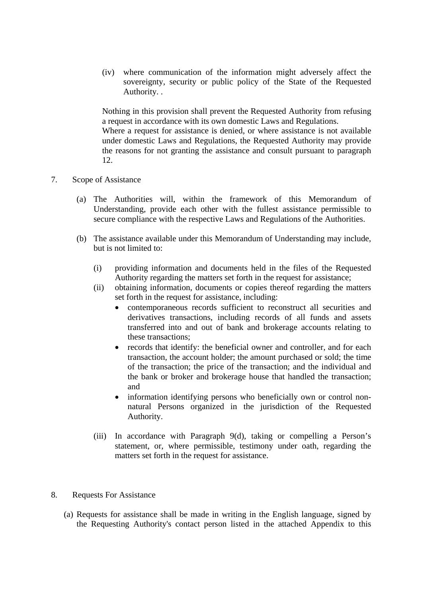(iv) where communication of the information might adversely affect the sovereignty, security or public policy of the State of the Requested Authority. .

Nothing in this provision shall prevent the Requested Authority from refusing a request in accordance with its own domestic Laws and Regulations.

Where a request for assistance is denied, or where assistance is not available under domestic Laws and Regulations, the Requested Authority may provide the reasons for not granting the assistance and consult pursuant to paragraph 12.

- 7. Scope of Assistance
	- (a) The Authorities will, within the framework of this Memorandum of Understanding, provide each other with the fullest assistance permissible to secure compliance with the respective Laws and Regulations of the Authorities.
	- (b) The assistance available under this Memorandum of Understanding may include, but is not limited to:
		- (i) providing information and documents held in the files of the Requested Authority regarding the matters set forth in the request for assistance;
		- (ii) obtaining information, documents or copies thereof regarding the matters set forth in the request for assistance, including:
			- contemporaneous records sufficient to reconstruct all securities and derivatives transactions, including records of all funds and assets transferred into and out of bank and brokerage accounts relating to these transactions;
			- records that identify: the beneficial owner and controller, and for each transaction, the account holder; the amount purchased or sold; the time of the transaction; the price of the transaction; and the individual and the bank or broker and brokerage house that handled the transaction; and
			- information identifying persons who beneficially own or control nonnatural Persons organized in the jurisdiction of the Requested Authority.
		- (iii) In accordance with Paragraph 9(d), taking or compelling a Person's statement, or, where permissible, testimony under oath, regarding the matters set forth in the request for assistance.
- 8. Requests For Assistance
	- (a) Requests for assistance shall be made in writing in the English language, signed by the Requesting Authority's contact person listed in the attached Appendix to this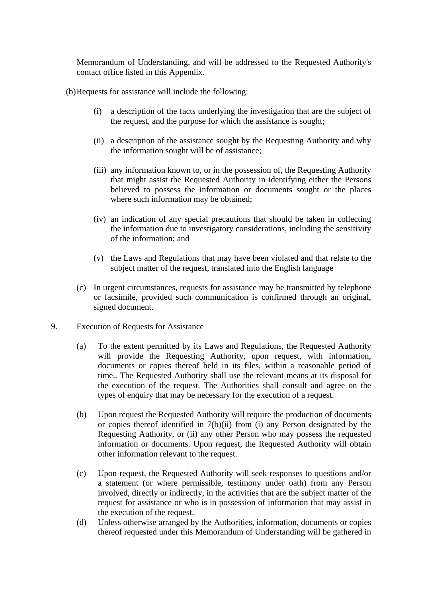Memorandum of Understanding, and will be addressed to the Requested Authority's contact office listed in this Appendix.

(b) Requests for assistance will include the following:

- (i) a description of the facts underlying the investigation that are the subject of the request, and the purpose for which the assistance is sought;
- (ii) a description of the assistance sought by the Requesting Authority and why the information sought will be of assistance;
- (iii) any information known to, or in the possession of, the Requesting Authority that might assist the Requested Authority in identifying either the Persons believed to possess the information or documents sought or the places where such information may be obtained:
- (iv) an indication of any special precautions that should be taken in collecting the information due to investigatory considerations, including the sensitivity of the information; and
- (v) the Laws and Regulations that may have been violated and that relate to the subject matter of the request, translated into the English language
- (c) In urgent circumstances, requests for assistance may be transmitted by telephone or facsimile, provided such communication is confirmed through an original, signed document.
- 9. Execution of Requests for Assistance
	- (a) To the extent permitted by its Laws and Regulations, the Requested Authority will provide the Requesting Authority, upon request, with information, documents or copies thereof held in its files, within a reasonable period of time.. The Requested Authority shall use the relevant means at its disposal for the execution of the request. The Authorities shall consult and agree on the types of enquiry that may be necessary for the execution of a request.
	- (b) Upon request the Requested Authority will require the production of documents or copies thereof identified in 7(b)(ii) from (i) any Person designated by the Requesting Authority, or (ii) any other Person who may possess the requested information or documents. Upon request, the Requested Authority will obtain other information relevant to the request.
	- (c) Upon request, the Requested Authority will seek responses to questions and/or a statement (or where permissible, testimony under oath) from any Person involved, directly or indirectly, in the activities that are the subject matter of the request for assistance or who is in possession of information that may assist in the execution of the request.
	- (d) Unless otherwise arranged by the Authorities, information, documents or copies thereof requested under this Memorandum of Understanding will be gathered in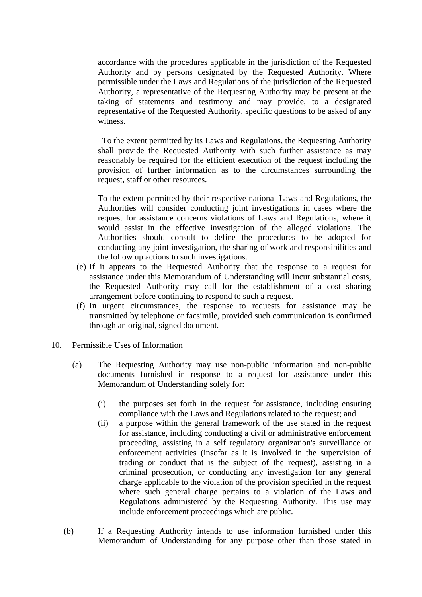accordance with the procedures applicable in the jurisdiction of the Requested Authority and by persons designated by the Requested Authority. Where permissible under the Laws and Regulations of the jurisdiction of the Requested Authority, a representative of the Requesting Authority may be present at the taking of statements and testimony and may provide, to a designated representative of the Requested Authority, specific questions to be asked of any witness.

To the extent permitted by its Laws and Regulations, the Requesting Authority shall provide the Requested Authority with such further assistance as may reasonably be required for the efficient execution of the request including the provision of further information as to the circumstances surrounding the request, staff or other resources.

To the extent permitted by their respective national Laws and Regulations, the Authorities will consider conducting joint investigations in cases where the request for assistance concerns violations of Laws and Regulations, where it would assist in the effective investigation of the alleged violations. The Authorities should consult to define the procedures to be adopted for conducting any joint investigation, the sharing of work and responsibilities and the follow up actions to such investigations.

- (e) If it appears to the Requested Authority that the response to a request for assistance under this Memorandum of Understanding will incur substantial costs, the Requested Authority may call for the establishment of a cost sharing arrangement before continuing to respond to such a request.
- (f) In urgent circumstances, the response to requests for assistance may be transmitted by telephone or facsimile, provided such communication is confirmed through an original, signed document.
- 10. Permissible Uses of Information
	- (a) The Requesting Authority may use non-public information and non-public documents furnished in response to a request for assistance under this Memorandum of Understanding solely for:
		- (i) the purposes set forth in the request for assistance, including ensuring compliance with the Laws and Regulations related to the request; and
		- (ii) a purpose within the general framework of the use stated in the request for assistance, including conducting a civil or administrative enforcement proceeding, assisting in a self regulatory organization's surveillance or enforcement activities (insofar as it is involved in the supervision of trading or conduct that is the subject of the request), assisting in a criminal prosecution, or conducting any investigation for any general charge applicable to the violation of the provision specified in the request where such general charge pertains to a violation of the Laws and Regulations administered by the Requesting Authority. This use may include enforcement proceedings which are public.
	- (b) If a Requesting Authority intends to use information furnished under this Memorandum of Understanding for any purpose other than those stated in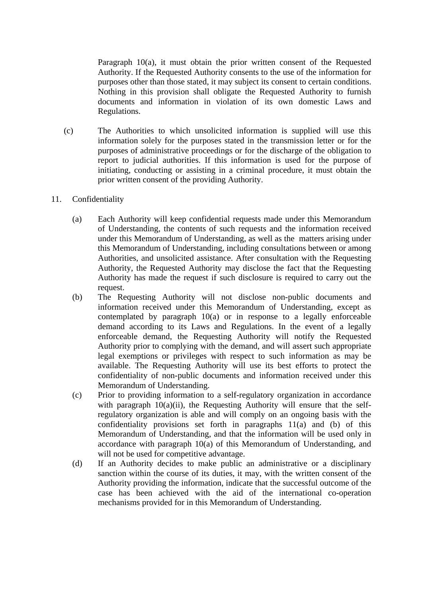Paragraph 10(a), it must obtain the prior written consent of the Requested Authority. If the Requested Authority consents to the use of the information for purposes other than those stated, it may subject its consent to certain conditions. Nothing in this provision shall obligate the Requested Authority to furnish documents and information in violation of its own domestic Laws and Regulations.

- (c) The Authorities to which unsolicited information is supplied will use this information solely for the purposes stated in the transmission letter or for the purposes of administrative proceedings or for the discharge of the obligation to report to judicial authorities. If this information is used for the purpose of initiating, conducting or assisting in a criminal procedure, it must obtain the prior written consent of the providing Authority.
- 11. Confidentiality
	- (a) Each Authority will keep confidential requests made under this Memorandum of Understanding, the contents of such requests and the information received under this Memorandum of Understanding, as well as the matters arising under this Memorandum of Understanding, including consultations between or among Authorities, and unsolicited assistance. After consultation with the Requesting Authority, the Requested Authority may disclose the fact that the Requesting Authority has made the request if such disclosure is required to carry out the request.
	- (b) The Requesting Authority will not disclose non-public documents and information received under this Memorandum of Understanding, except as contemplated by paragraph 10(a) or in response to a legally enforceable demand according to its Laws and Regulations. In the event of a legally enforceable demand, the Requesting Authority will notify the Requested Authority prior to complying with the demand, and will assert such appropriate legal exemptions or privileges with respect to such information as may be available. The Requesting Authority will use its best efforts to protect the confidentiality of non-public documents and information received under this Memorandum of Understanding.
	- (c) Prior to providing information to a self-regulatory organization in accordance with paragraph  $10(a)(ii)$ , the Requesting Authority will ensure that the selfregulatory organization is able and will comply on an ongoing basis with the confidentiality provisions set forth in paragraphs 11(a) and (b) of this Memorandum of Understanding, and that the information will be used only in accordance with paragraph 10(a) of this Memorandum of Understanding, and will not be used for competitive advantage.
	- (d) If an Authority decides to make public an administrative or a disciplinary sanction within the course of its duties, it may, with the written consent of the Authority providing the information, indicate that the successful outcome of the case has been achieved with the aid of the international co-operation mechanisms provided for in this Memorandum of Understanding.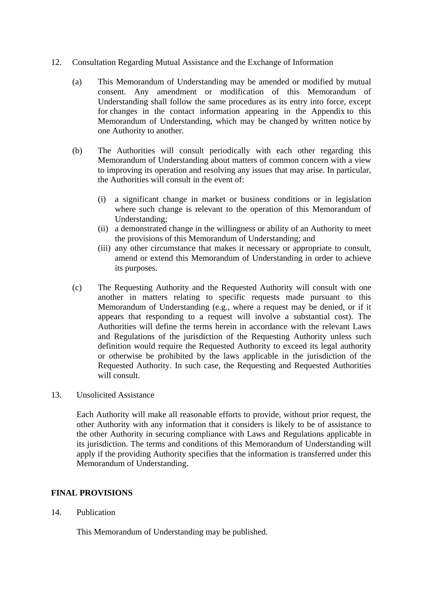- 12. Consultation Regarding Mutual Assistance and the Exchange of Information
	- (a) This Memorandum of Understanding may be amended or modified by mutual consent. Any amendment or modification of this Memorandum of Understanding shall follow the same procedures as its entry into force, except for changes in the contact information appearing in the Appendix to this Memorandum of Understanding, which may be changed by written notice by one Authority to another.
	- (b) The Authorities will consult periodically with each other regarding this Memorandum of Understanding about matters of common concern with a view to improving its operation and resolving any issues that may arise. In particular, the Authorities will consult in the event of:
		- (i) a significant change in market or business conditions or in legislation where such change is relevant to the operation of this Memorandum of Understanding;
		- (ii) a demonstrated change in the willingness or ability of an Authority to meet the provisions of this Memorandum of Understanding; and
		- (iii) any other circumstance that makes it necessary or appropriate to consult, amend or extend this Memorandum of Understanding in order to achieve its purposes.
	- (c) The Requesting Authority and the Requested Authority will consult with one another in matters relating to specific requests made pursuant to this Memorandum of Understanding (e.g., where a request may be denied, or if it appears that responding to a request will involve a substantial cost). The Authorities will define the terms herein in accordance with the relevant Laws and Regulations of the jurisdiction of the Requesting Authority unless such definition would require the Requested Authority to exceed its legal authority or otherwise be prohibited by the laws applicable in the jurisdiction of the Requested Authority. In such case, the Requesting and Requested Authorities will consult.
- 13. Unsolicited Assistance

Each Authority will make all reasonable efforts to provide, without prior request, the other Authority with any information that it considers is likely to be of assistance to the other Authority in securing compliance with Laws and Regulations applicable in its jurisdiction. The terms and conditions of this Memorandum of Understanding will apply if the providing Authority specifies that the information is transferred under this Memorandum of Understanding.

## **FINAL PROVISIONS**

14. Publication

This Memorandum of Understanding may be published.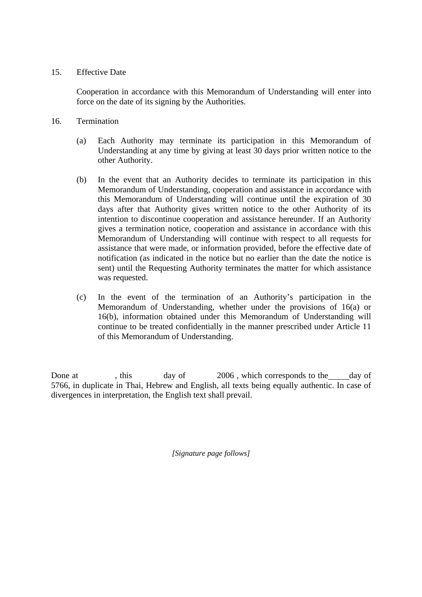### 15. Effective Date

 Cooperation in accordance with this Memorandum of Understanding will enter into force on the date of its signing by the Authorities.

- 16. Termination
	- (a) Each Authority may terminate its participation in this Memorandum of Understanding at any time by giving at least 30 days prior written notice to the other Authority.
	- (b) In the event that an Authority decides to terminate its participation in this Memorandum of Understanding, cooperation and assistance in accordance with this Memorandum of Understanding will continue until the expiration of 30 days after that Authority gives written notice to the other Authority of its intention to discontinue cooperation and assistance hereunder. If an Authority gives a termination notice, cooperation and assistance in accordance with this Memorandum of Understanding will continue with respect to all requests for assistance that were made, or information provided, before the effective date of notification (as indicated in the notice but no earlier than the date the notice is sent) until the Requesting Authority terminates the matter for which assistance was requested.
	- (c) In the event of the termination of an Authority's participation in the Memorandum of Understanding, whether under the provisions of 16(a) or 16(b), information obtained under this Memorandum of Understanding will continue to be treated confidentially in the manner prescribed under Article 11 of this Memorandum of Understanding.

Done at , this day of 2006, which corresponds to the day of 5766, in duplicate in Thai, Hebrew and English, all texts being equally authentic. In case of divergences in interpretation, the English text shall prevail.

*[Signature page follows]*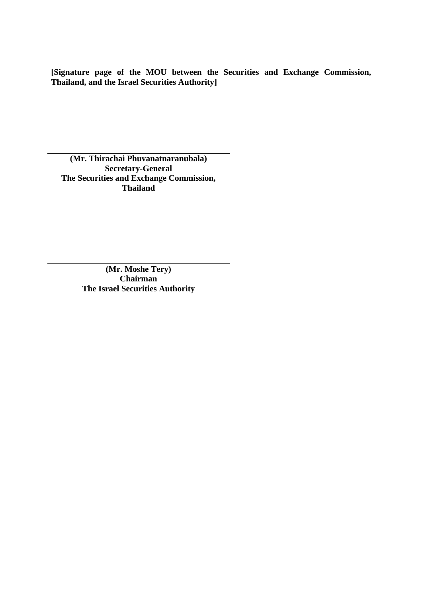**[Signature page of the MOU between the Securities and Exchange Commission, Thailand, and the Israel Securities Authority]** 

**(Mr. Thirachai Phuvanatnaranubala) Secretary-General The Securities and Exchange Commission, Thailand** 

> **(Mr. Moshe Tery) Chairman The Israel Securities Authority**